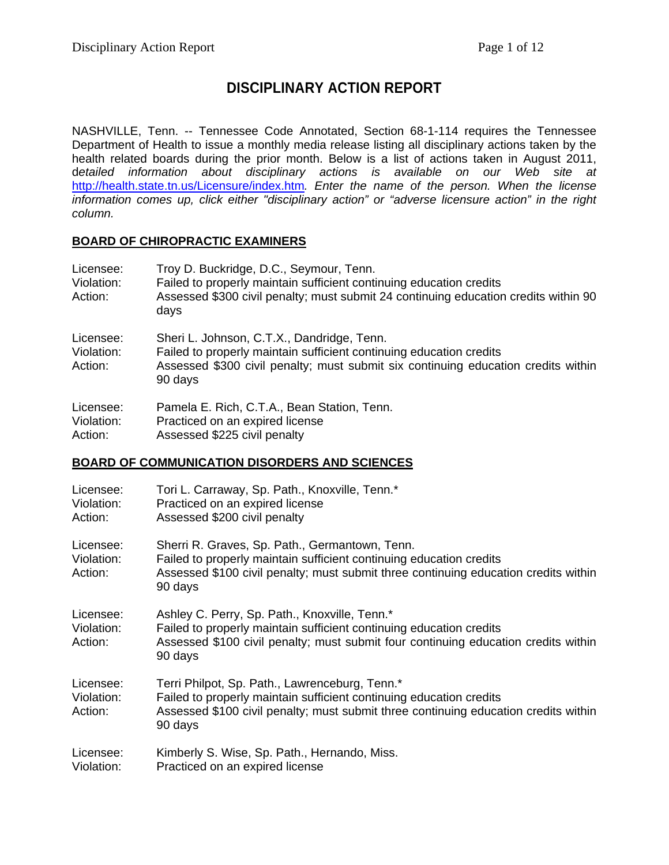# **DISCIPLINARY ACTION REPORT**

NASHVILLE, Tenn. -- Tennessee Code Annotated, Section 68-1-114 requires the Tennessee Department of Health to issue a monthly media release listing all disciplinary actions taken by the health related boards during the prior month. Below is a list of actions taken in August 2011, d*etailed information about disciplinary actions is available on our Web site at*  http://health.state.tn.us/Licensure/index.htm*. Enter the name of the person. When the license information comes up, click either "disciplinary action" or "adverse licensure action" in the right column.* 

## **BOARD OF CHIROPRACTIC EXAMINERS**

| Licensee:<br>Violation:<br>Action: | Troy D. Buckridge, D.C., Seymour, Tenn.<br>Failed to properly maintain sufficient continuing education credits<br>Assessed \$300 civil penalty; must submit 24 continuing education credits within 90<br>days     |
|------------------------------------|-------------------------------------------------------------------------------------------------------------------------------------------------------------------------------------------------------------------|
| Licensee:<br>Violation:<br>Action: | Sheri L. Johnson, C.T.X., Dandridge, Tenn.<br>Failed to properly maintain sufficient continuing education credits<br>Assessed \$300 civil penalty; must submit six continuing education credits within<br>90 days |
| Licensee:                          | Pamela E. Rich, C.T.A., Bean Station, Tenn.                                                                                                                                                                       |

| Licensee:  | Pamela E. Rich, C. I.A., Bean Station, Tenn |
|------------|---------------------------------------------|
| Violation: | Practiced on an expired license             |
| Action:    | Assessed \$225 civil penalty                |

## **BOARD OF COMMUNICATION DISORDERS AND SCIENCES**

| Licensee:<br>Violation:<br>Action: | Tori L. Carraway, Sp. Path., Knoxville, Tenn.*<br>Practiced on an expired license<br>Assessed \$200 civil penalty                                                                                                       |
|------------------------------------|-------------------------------------------------------------------------------------------------------------------------------------------------------------------------------------------------------------------------|
| Licensee:<br>Violation:<br>Action: | Sherri R. Graves, Sp. Path., Germantown, Tenn.<br>Failed to properly maintain sufficient continuing education credits<br>Assessed \$100 civil penalty; must submit three continuing education credits within<br>90 days |
| Licensee:<br>Violation:<br>Action: | Ashley C. Perry, Sp. Path., Knoxville, Tenn.*<br>Failed to properly maintain sufficient continuing education credits<br>Assessed \$100 civil penalty; must submit four continuing education credits within<br>90 days   |
| Licensee:<br>Violation:<br>Action: | Terri Philpot, Sp. Path., Lawrenceburg, Tenn.*<br>Failed to properly maintain sufficient continuing education credits<br>Assessed \$100 civil penalty; must submit three continuing education credits within<br>90 days |
| Licensee:<br>Violation:            | Kimberly S. Wise, Sp. Path., Hernando, Miss.<br>Practiced on an expired license                                                                                                                                         |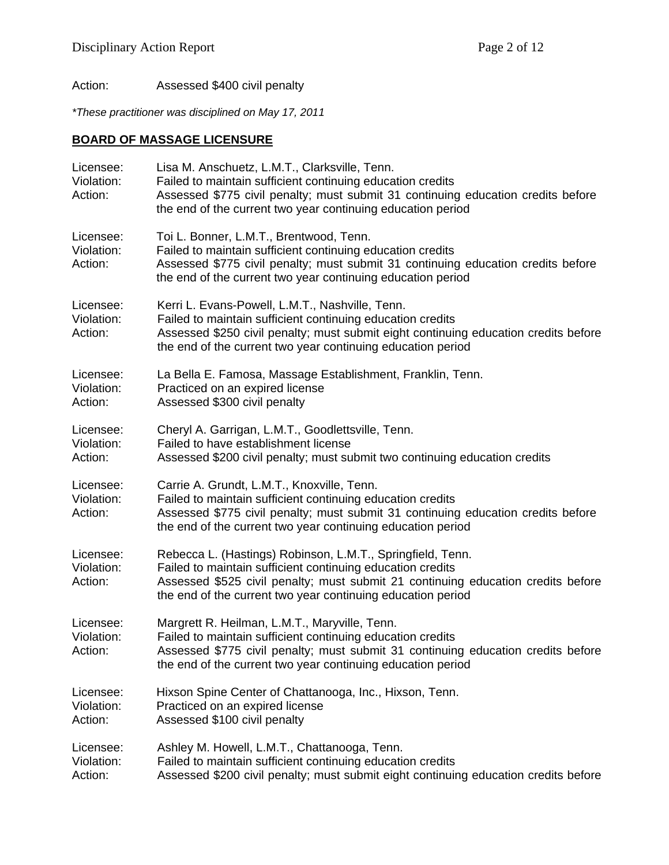Action: Assessed \$400 civil penalty

*\*These practitioner was disciplined on May 17, 2011* 

## **BOARD OF MASSAGE LICENSURE**

| Licensee:<br>Violation:<br>Action: | Lisa M. Anschuetz, L.M.T., Clarksville, Tenn.<br>Failed to maintain sufficient continuing education credits<br>Assessed \$775 civil penalty; must submit 31 continuing education credits before<br>the end of the current two year continuing education period              |
|------------------------------------|-----------------------------------------------------------------------------------------------------------------------------------------------------------------------------------------------------------------------------------------------------------------------------|
| Licensee:<br>Violation:<br>Action: | Toi L. Bonner, L.M.T., Brentwood, Tenn.<br>Failed to maintain sufficient continuing education credits<br>Assessed \$775 civil penalty; must submit 31 continuing education credits before<br>the end of the current two year continuing education period                    |
| Licensee:<br>Violation:<br>Action: | Kerri L. Evans-Powell, L.M.T., Nashville, Tenn.<br>Failed to maintain sufficient continuing education credits<br>Assessed \$250 civil penalty; must submit eight continuing education credits before<br>the end of the current two year continuing education period         |
| Licensee:<br>Violation:<br>Action: | La Bella E. Famosa, Massage Establishment, Franklin, Tenn.<br>Practiced on an expired license<br>Assessed \$300 civil penalty                                                                                                                                               |
| Licensee:<br>Violation:<br>Action: | Cheryl A. Garrigan, L.M.T., Goodlettsville, Tenn.<br>Failed to have establishment license<br>Assessed \$200 civil penalty; must submit two continuing education credits                                                                                                     |
| Licensee:<br>Violation:<br>Action: | Carrie A. Grundt, L.M.T., Knoxville, Tenn.<br>Failed to maintain sufficient continuing education credits<br>Assessed \$775 civil penalty; must submit 31 continuing education credits before<br>the end of the current two year continuing education period                 |
| Licensee:<br>Violation:<br>Action: | Rebecca L. (Hastings) Robinson, L.M.T., Springfield, Tenn.<br>Failed to maintain sufficient continuing education credits<br>Assessed \$525 civil penalty; must submit 21 continuing education credits before<br>the end of the current two year continuing education period |
| Licensee:<br>Violation:<br>Action: | Margrett R. Heilman, L.M.T., Maryville, Tenn.<br>Failed to maintain sufficient continuing education credits<br>Assessed \$775 civil penalty; must submit 31 continuing education credits before<br>the end of the current two year continuing education period              |
| Licensee:<br>Violation:<br>Action: | Hixson Spine Center of Chattanooga, Inc., Hixson, Tenn.<br>Practiced on an expired license<br>Assessed \$100 civil penalty                                                                                                                                                  |
| Licensee:<br>Violation:<br>Action: | Ashley M. Howell, L.M.T., Chattanooga, Tenn.<br>Failed to maintain sufficient continuing education credits<br>Assessed \$200 civil penalty; must submit eight continuing education credits before                                                                           |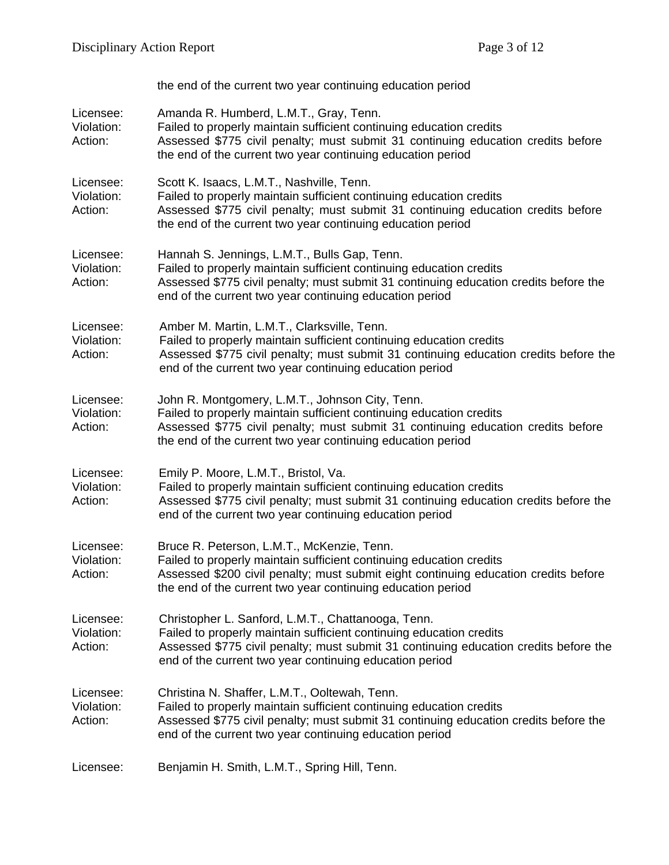|                                    | the end of the current two year continuing education period                                                                                                                                                                                                                  |
|------------------------------------|------------------------------------------------------------------------------------------------------------------------------------------------------------------------------------------------------------------------------------------------------------------------------|
| Licensee:<br>Violation:<br>Action: | Amanda R. Humberd, L.M.T., Gray, Tenn.<br>Failed to properly maintain sufficient continuing education credits<br>Assessed \$775 civil penalty; must submit 31 continuing education credits before<br>the end of the current two year continuing education period             |
| Licensee:<br>Violation:<br>Action: | Scott K. Isaacs, L.M.T., Nashville, Tenn.<br>Failed to properly maintain sufficient continuing education credits<br>Assessed \$775 civil penalty; must submit 31 continuing education credits before<br>the end of the current two year continuing education period          |
| Licensee:<br>Violation:<br>Action: | Hannah S. Jennings, L.M.T., Bulls Gap, Tenn.<br>Failed to properly maintain sufficient continuing education credits<br>Assessed \$775 civil penalty; must submit 31 continuing education credits before the<br>end of the current two year continuing education period       |
| Licensee:<br>Violation:<br>Action: | Amber M. Martin, L.M.T., Clarksville, Tenn.<br>Failed to properly maintain sufficient continuing education credits<br>Assessed \$775 civil penalty; must submit 31 continuing education credits before the<br>end of the current two year continuing education period        |
| Licensee:<br>Violation:<br>Action: | John R. Montgomery, L.M.T., Johnson City, Tenn.<br>Failed to properly maintain sufficient continuing education credits<br>Assessed \$775 civil penalty; must submit 31 continuing education credits before<br>the end of the current two year continuing education period    |
| Licensee:<br>Violation:<br>Action: | Emily P. Moore, L.M.T., Bristol, Va.<br>Failed to properly maintain sufficient continuing education credits<br>Assessed \$775 civil penalty; must submit 31 continuing education credits before the<br>end of the current two year continuing education period               |
| Licensee:<br>Violation:<br>Action: | Bruce R. Peterson, L.M.T., McKenzie, Tenn.<br>Failed to properly maintain sufficient continuing education credits<br>Assessed \$200 civil penalty; must submit eight continuing education credits before<br>the end of the current two year continuing education period      |
| Licensee:<br>Violation:<br>Action: | Christopher L. Sanford, L.M.T., Chattanooga, Tenn.<br>Failed to properly maintain sufficient continuing education credits<br>Assessed \$775 civil penalty; must submit 31 continuing education credits before the<br>end of the current two year continuing education period |
| Licensee:<br>Violation:<br>Action: | Christina N. Shaffer, L.M.T., Ooltewah, Tenn.<br>Failed to properly maintain sufficient continuing education credits<br>Assessed \$775 civil penalty; must submit 31 continuing education credits before the<br>end of the current two year continuing education period      |
| Licensee:                          | Benjamin H. Smith, L.M.T., Spring Hill, Tenn.                                                                                                                                                                                                                                |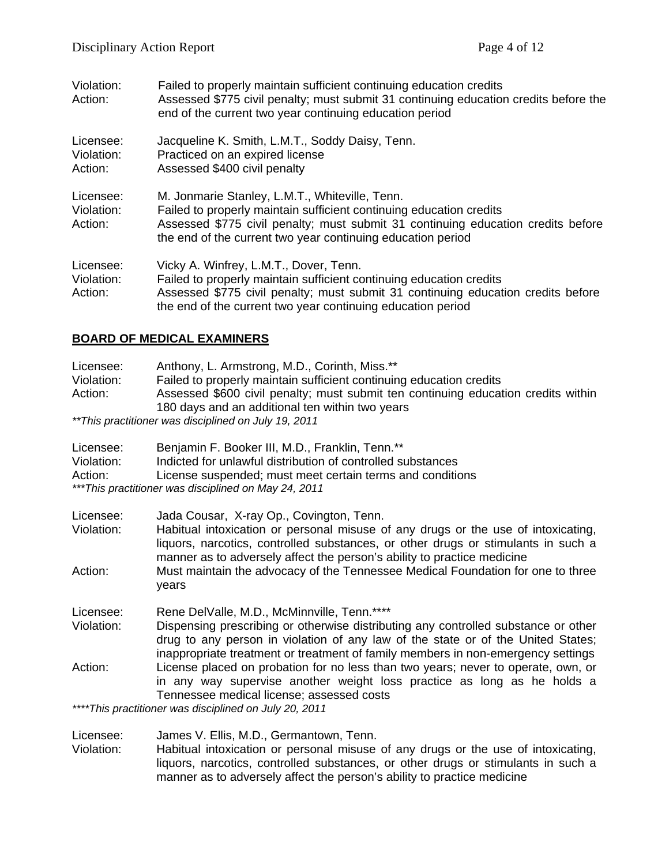| Violation:<br>Action:              | Failed to properly maintain sufficient continuing education credits<br>Assessed \$775 civil penalty; must submit 31 continuing education credits before the<br>end of the current two year continuing education period                                                   |
|------------------------------------|--------------------------------------------------------------------------------------------------------------------------------------------------------------------------------------------------------------------------------------------------------------------------|
| Licensee:<br>Violation:<br>Action: | Jacqueline K. Smith, L.M.T., Soddy Daisy, Tenn.<br>Practiced on an expired license<br>Assessed \$400 civil penalty                                                                                                                                                       |
| Licensee:<br>Violation:<br>Action: | M. Jonmarie Stanley, L.M.T., Whiteville, Tenn.<br>Failed to properly maintain sufficient continuing education credits<br>Assessed \$775 civil penalty; must submit 31 continuing education credits before<br>the end of the current two year continuing education period |
| Licensee:<br>Violation:<br>Action: | Vicky A. Winfrey, L.M.T., Dover, Tenn.<br>Failed to properly maintain sufficient continuing education credits<br>Assessed \$775 civil penalty; must submit 31 continuing education credits before<br>the end of the current two year continuing education period         |

## **BOARD OF MEDICAL EXAMINERS**

| Licensee:<br>Violation:<br>Action: | Anthony, L. Armstrong, M.D., Corinth, Miss.**<br>Failed to properly maintain sufficient continuing education credits<br>Assessed \$600 civil penalty; must submit ten continuing education credits within<br>180 days and an additional ten within two years<br>** This practitioner was disciplined on July 19, 2011                                                                     |
|------------------------------------|-------------------------------------------------------------------------------------------------------------------------------------------------------------------------------------------------------------------------------------------------------------------------------------------------------------------------------------------------------------------------------------------|
| Licensee:<br>Violation:<br>Action: | Benjamin F. Booker III, M.D., Franklin, Tenn.**<br>Indicted for unlawful distribution of controlled substances<br>License suspended; must meet certain terms and conditions<br>*** This practitioner was disciplined on May 24, 2011                                                                                                                                                      |
| Licensee:<br>Violation:<br>Action: | Jada Cousar, X-ray Op., Covington, Tenn.<br>Habitual intoxication or personal misuse of any drugs or the use of intoxicating,<br>liquors, narcotics, controlled substances, or other drugs or stimulants in such a<br>manner as to adversely affect the person's ability to practice medicine<br>Must maintain the advocacy of the Tennessee Medical Foundation for one to three<br>years |
| Licensee:<br>Violation:            | Rene DelValle, M.D., McMinnville, Tenn.****<br>Dispensing prescribing or otherwise distributing any controlled substance or other<br>drug to any person in violation of any law of the state or of the United States;<br>inappropriate treatment or treatment of family members in non-emergency settings                                                                                 |
| Action:                            | License placed on probation for no less than two years; never to operate, own, or<br>in any way supervise another weight loss practice as long as he holds a<br>Tennessee medical license; assessed costs<br>****This practitioner was disciplined on July 20, 2011                                                                                                                       |

Licensee: James V. Ellis, M.D., Germantown, Tenn. Violation: Habitual intoxication or personal misuse of any drugs or the use of intoxicating, liquors, narcotics, controlled substances, or other drugs or stimulants in such a manner as to adversely affect the person's ability to practice medicine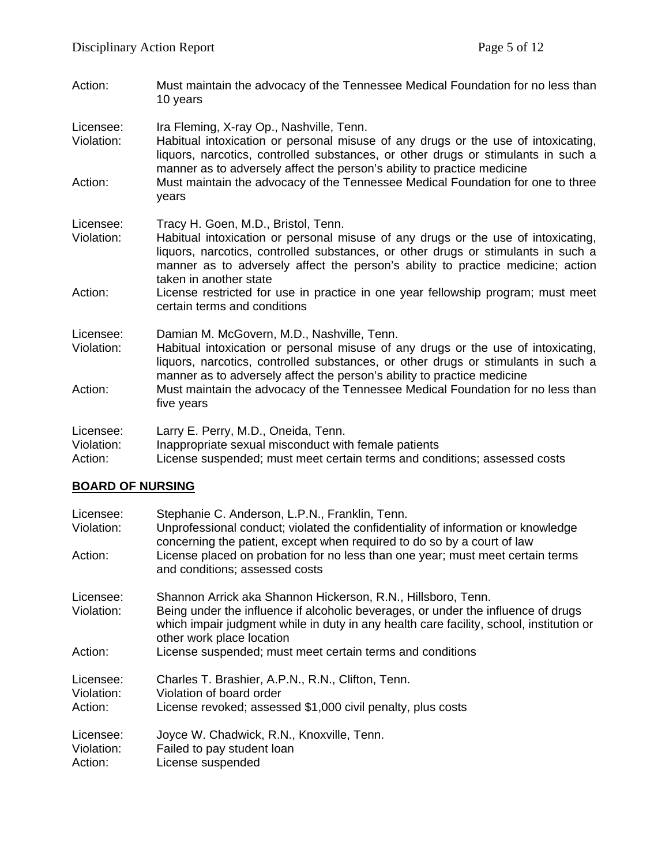- Action: Must maintain the advocacy of the Tennessee Medical Foundation for no less than 10 years
- Licensee: Ira Fleming, X-ray Op., Nashville, Tenn.
- Violation: Habitual intoxication or personal misuse of any drugs or the use of intoxicating, liquors, narcotics, controlled substances, or other drugs or stimulants in such a manner as to adversely affect the person's ability to practice medicine
- Action: Must maintain the advocacy of the Tennessee Medical Foundation for one to three years
- Licensee: Tracy H. Goen, M.D., Bristol, Tenn.
- Violation: Habitual intoxication or personal misuse of any drugs or the use of intoxicating, liquors, narcotics, controlled substances, or other drugs or stimulants in such a manner as to adversely affect the person's ability to practice medicine; action taken in another state
- Action: License restricted for use in practice in one year fellowship program; must meet certain terms and conditions
- Licensee: Damian M. McGovern, M.D., Nashville, Tenn.
- Violation: Habitual intoxication or personal misuse of any drugs or the use of intoxicating, liquors, narcotics, controlled substances, or other drugs or stimulants in such a manner as to adversely affect the person's ability to practice medicine
- Action: Must maintain the advocacy of the Tennessee Medical Foundation for no less than five years

| Licensee:  | Larry E. Perry, M.D., Oneida, Tenn.                  |
|------------|------------------------------------------------------|
| Violation: | Inappropriate sexual misconduct with female patients |
|            |                                                      |

#### Action: License suspended; must meet certain terms and conditions; assessed costs

## **BOARD OF NURSING**

| Licensee:<br>Violation: | Stephanie C. Anderson, L.P.N., Franklin, Tenn.<br>Unprofessional conduct; violated the confidentiality of information or knowledge<br>concerning the patient, except when required to do so by a court of law |
|-------------------------|---------------------------------------------------------------------------------------------------------------------------------------------------------------------------------------------------------------|
| Action:                 | License placed on probation for no less than one year; must meet certain terms<br>and conditions; assessed costs                                                                                              |
| Licensee:               | Shannon Arrick aka Shannon Hickerson, R.N., Hillsboro, Tenn.                                                                                                                                                  |
| Violation:              | Being under the influence if alcoholic beverages, or under the influence of drugs<br>which impair judgment while in duty in any health care facility, school, institution or<br>other work place location     |
| Action:                 | License suspended; must meet certain terms and conditions                                                                                                                                                     |
| Licensee:<br>Violation: | Charles T. Brashier, A.P.N., R.N., Clifton, Tenn.<br>Violation of board order                                                                                                                                 |
| Action:                 | License revoked; assessed \$1,000 civil penalty, plus costs                                                                                                                                                   |
| Licensee:               | Joyce W. Chadwick, R.N., Knoxville, Tenn.                                                                                                                                                                     |
| Violation:              | Failed to pay student loan                                                                                                                                                                                    |
| Action:                 | License suspended                                                                                                                                                                                             |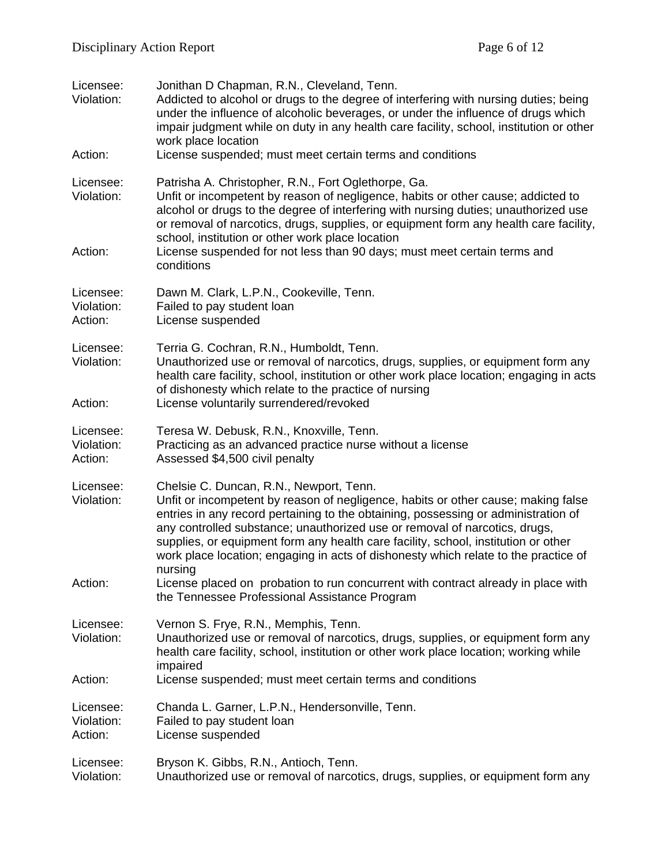| Licensee:<br>Violation:<br>Action: | Jonithan D Chapman, R.N., Cleveland, Tenn.<br>Addicted to alcohol or drugs to the degree of interfering with nursing duties; being<br>under the influence of alcoholic beverages, or under the influence of drugs which<br>impair judgment while on duty in any health care facility, school, institution or other<br>work place location<br>License suspended; must meet certain terms and conditions                                                                                                                                                                        |
|------------------------------------|-------------------------------------------------------------------------------------------------------------------------------------------------------------------------------------------------------------------------------------------------------------------------------------------------------------------------------------------------------------------------------------------------------------------------------------------------------------------------------------------------------------------------------------------------------------------------------|
|                                    |                                                                                                                                                                                                                                                                                                                                                                                                                                                                                                                                                                               |
| Licensee:<br>Violation:<br>Action: | Patrisha A. Christopher, R.N., Fort Oglethorpe, Ga.<br>Unfit or incompetent by reason of negligence, habits or other cause; addicted to<br>alcohol or drugs to the degree of interfering with nursing duties; unauthorized use<br>or removal of narcotics, drugs, supplies, or equipment form any health care facility,<br>school, institution or other work place location<br>License suspended for not less than 90 days; must meet certain terms and                                                                                                                       |
|                                    | conditions                                                                                                                                                                                                                                                                                                                                                                                                                                                                                                                                                                    |
| Licensee:<br>Violation:<br>Action: | Dawn M. Clark, L.P.N., Cookeville, Tenn.<br>Failed to pay student loan<br>License suspended                                                                                                                                                                                                                                                                                                                                                                                                                                                                                   |
| Licensee:<br>Violation:<br>Action: | Terria G. Cochran, R.N., Humboldt, Tenn.<br>Unauthorized use or removal of narcotics, drugs, supplies, or equipment form any<br>health care facility, school, institution or other work place location; engaging in acts<br>of dishonesty which relate to the practice of nursing<br>License voluntarily surrendered/revoked                                                                                                                                                                                                                                                  |
|                                    |                                                                                                                                                                                                                                                                                                                                                                                                                                                                                                                                                                               |
| Licensee:<br>Violation:<br>Action: | Teresa W. Debusk, R.N., Knoxville, Tenn.<br>Practicing as an advanced practice nurse without a license<br>Assessed \$4,500 civil penalty                                                                                                                                                                                                                                                                                                                                                                                                                                      |
| Licensee:<br>Violation:<br>Action: | Chelsie C. Duncan, R.N., Newport, Tenn.<br>Unfit or incompetent by reason of negligence, habits or other cause; making false<br>entries in any record pertaining to the obtaining, possessing or administration of<br>any controlled substance; unauthorized use or removal of narcotics, drugs,<br>supplies, or equipment form any health care facility, school, institution or other<br>work place location; engaging in acts of dishonesty which relate to the practice of<br>nursing<br>License placed on probation to run concurrent with contract already in place with |
|                                    | the Tennessee Professional Assistance Program                                                                                                                                                                                                                                                                                                                                                                                                                                                                                                                                 |
| Licensee:<br>Violation:            | Vernon S. Frye, R.N., Memphis, Tenn.<br>Unauthorized use or removal of narcotics, drugs, supplies, or equipment form any<br>health care facility, school, institution or other work place location; working while<br>impaired                                                                                                                                                                                                                                                                                                                                                 |
| Action:                            | License suspended; must meet certain terms and conditions                                                                                                                                                                                                                                                                                                                                                                                                                                                                                                                     |
| Licensee:<br>Violation:<br>Action: | Chanda L. Garner, L.P.N., Hendersonville, Tenn.<br>Failed to pay student loan<br>License suspended                                                                                                                                                                                                                                                                                                                                                                                                                                                                            |
| Licensee:<br>Violation:            | Bryson K. Gibbs, R.N., Antioch, Tenn.<br>Unauthorized use or removal of narcotics, drugs, supplies, or equipment form any                                                                                                                                                                                                                                                                                                                                                                                                                                                     |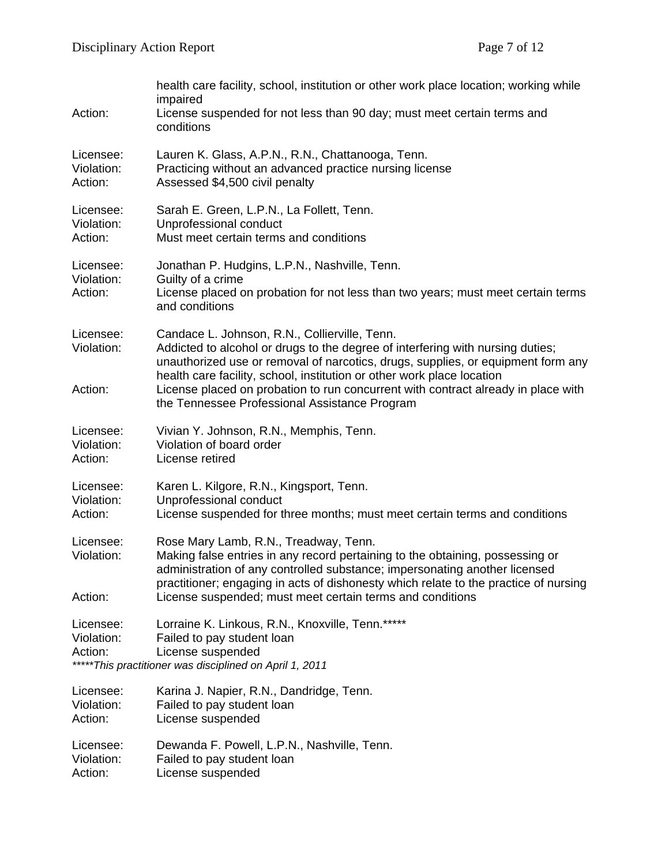| Action:                            | health care facility, school, institution or other work place location; working while<br>impaired<br>License suspended for not less than 90 day; must meet certain terms and<br>conditions                                                                                                                                                                                                                                          |
|------------------------------------|-------------------------------------------------------------------------------------------------------------------------------------------------------------------------------------------------------------------------------------------------------------------------------------------------------------------------------------------------------------------------------------------------------------------------------------|
| Licensee:                          | Lauren K. Glass, A.P.N., R.N., Chattanooga, Tenn.                                                                                                                                                                                                                                                                                                                                                                                   |
| Violation:                         | Practicing without an advanced practice nursing license                                                                                                                                                                                                                                                                                                                                                                             |
| Action:                            | Assessed \$4,500 civil penalty                                                                                                                                                                                                                                                                                                                                                                                                      |
| Licensee:                          | Sarah E. Green, L.P.N., La Follett, Tenn.                                                                                                                                                                                                                                                                                                                                                                                           |
| Violation:                         | Unprofessional conduct                                                                                                                                                                                                                                                                                                                                                                                                              |
| Action:                            | Must meet certain terms and conditions                                                                                                                                                                                                                                                                                                                                                                                              |
| Licensee:<br>Violation:<br>Action: | Jonathan P. Hudgins, L.P.N., Nashville, Tenn.<br>Guilty of a crime<br>License placed on probation for not less than two years; must meet certain terms<br>and conditions                                                                                                                                                                                                                                                            |
| Licensee:<br>Violation:<br>Action: | Candace L. Johnson, R.N., Collierville, Tenn.<br>Addicted to alcohol or drugs to the degree of interfering with nursing duties;<br>unauthorized use or removal of narcotics, drugs, supplies, or equipment form any<br>health care facility, school, institution or other work place location<br>License placed on probation to run concurrent with contract already in place with<br>the Tennessee Professional Assistance Program |
| Licensee:                          | Vivian Y. Johnson, R.N., Memphis, Tenn.                                                                                                                                                                                                                                                                                                                                                                                             |
| Violation:                         | Violation of board order                                                                                                                                                                                                                                                                                                                                                                                                            |
| Action:                            | License retired                                                                                                                                                                                                                                                                                                                                                                                                                     |
| Licensee:                          | Karen L. Kilgore, R.N., Kingsport, Tenn.                                                                                                                                                                                                                                                                                                                                                                                            |
| Violation:                         | Unprofessional conduct                                                                                                                                                                                                                                                                                                                                                                                                              |
| Action:                            | License suspended for three months; must meet certain terms and conditions                                                                                                                                                                                                                                                                                                                                                          |
| Licensee:<br>Violation:<br>Action: | Rose Mary Lamb, R.N., Treadway, Tenn.<br>Making false entries in any record pertaining to the obtaining, possessing or<br>administration of any controlled substance; impersonating another licensed<br>practitioner; engaging in acts of dishonesty which relate to the practice of nursing<br>License suspended; must meet certain terms and conditions                                                                           |
| Licensee:<br>Violation:<br>Action: | Lorraine K. Linkous, R.N., Knoxville, Tenn.*****<br>Failed to pay student loan<br>License suspended<br>*****This practitioner was disciplined on April 1, 2011                                                                                                                                                                                                                                                                      |
| Licensee:                          | Karina J. Napier, R.N., Dandridge, Tenn.                                                                                                                                                                                                                                                                                                                                                                                            |
| Violation:                         | Failed to pay student loan                                                                                                                                                                                                                                                                                                                                                                                                          |
| Action:                            | License suspended                                                                                                                                                                                                                                                                                                                                                                                                                   |
| Licensee:                          | Dewanda F. Powell, L.P.N., Nashville, Tenn.                                                                                                                                                                                                                                                                                                                                                                                         |
| Violation:                         | Failed to pay student loan                                                                                                                                                                                                                                                                                                                                                                                                          |

Action: License suspended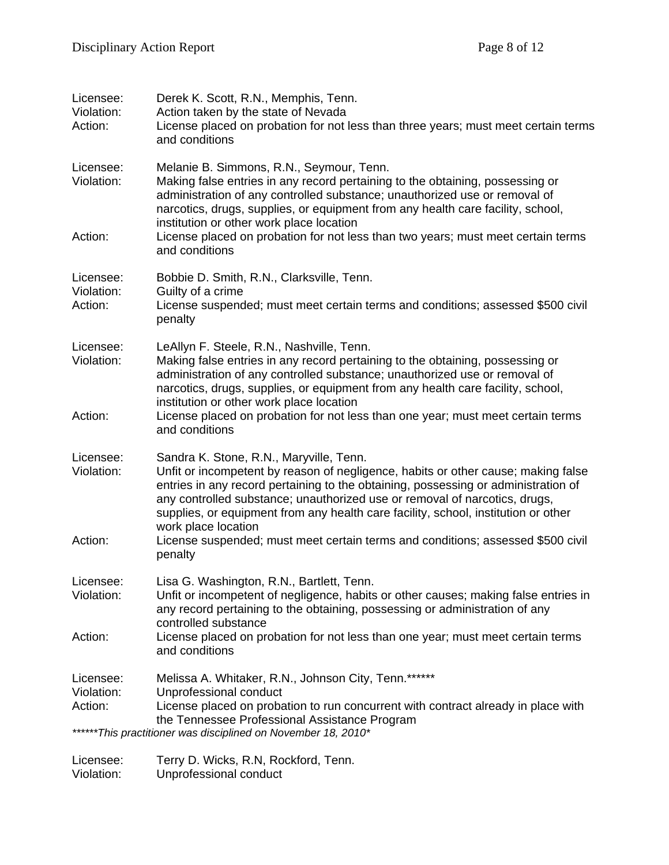| Licensee:<br>Violation:<br>Action: | Derek K. Scott, R.N., Memphis, Tenn.<br>Action taken by the state of Nevada<br>License placed on probation for not less than three years; must meet certain terms<br>and conditions                                                                                                                                                                                                                           |
|------------------------------------|---------------------------------------------------------------------------------------------------------------------------------------------------------------------------------------------------------------------------------------------------------------------------------------------------------------------------------------------------------------------------------------------------------------|
| Licensee:<br>Violation:            | Melanie B. Simmons, R.N., Seymour, Tenn.<br>Making false entries in any record pertaining to the obtaining, possessing or<br>administration of any controlled substance; unauthorized use or removal of<br>narcotics, drugs, supplies, or equipment from any health care facility, school,<br>institution or other work place location                                                                        |
| Action:                            | License placed on probation for not less than two years; must meet certain terms<br>and conditions                                                                                                                                                                                                                                                                                                            |
| Licensee:<br>Violation:<br>Action: | Bobbie D. Smith, R.N., Clarksville, Tenn.<br>Guilty of a crime<br>License suspended; must meet certain terms and conditions; assessed \$500 civil<br>penalty                                                                                                                                                                                                                                                  |
| Licensee:<br>Violation:            | LeAllyn F. Steele, R.N., Nashville, Tenn.<br>Making false entries in any record pertaining to the obtaining, possessing or<br>administration of any controlled substance; unauthorized use or removal of<br>narcotics, drugs, supplies, or equipment from any health care facility, school,<br>institution or other work place location                                                                       |
| Action:                            | License placed on probation for not less than one year; must meet certain terms<br>and conditions                                                                                                                                                                                                                                                                                                             |
| Licensee:<br>Violation:            | Sandra K. Stone, R.N., Maryville, Tenn.<br>Unfit or incompetent by reason of negligence, habits or other cause; making false<br>entries in any record pertaining to the obtaining, possessing or administration of<br>any controlled substance; unauthorized use or removal of narcotics, drugs,<br>supplies, or equipment from any health care facility, school, institution or other<br>work place location |
| Action:                            | License suspended; must meet certain terms and conditions; assessed \$500 civil<br>penalty                                                                                                                                                                                                                                                                                                                    |
| Licensee:<br>Violation:            | Lisa G. Washington, R.N., Bartlett, Tenn.<br>Unfit or incompetent of negligence, habits or other causes; making false entries in<br>any record pertaining to the obtaining, possessing or administration of any<br>controlled substance                                                                                                                                                                       |
| Action:                            | License placed on probation for not less than one year; must meet certain terms<br>and conditions                                                                                                                                                                                                                                                                                                             |
| Licensee:<br>Violation:<br>Action: | Melissa A. Whitaker, R.N., Johnson City, Tenn.******<br>Unprofessional conduct<br>License placed on probation to run concurrent with contract already in place with                                                                                                                                                                                                                                           |
|                                    | the Tennessee Professional Assistance Program<br>******This practitioner was disciplined on November 18, 2010*                                                                                                                                                                                                                                                                                                |
| Licensee:                          | Terry D. Wicks, R.N, Rockford, Tenn.                                                                                                                                                                                                                                                                                                                                                                          |

Violation: Unprofessional conduct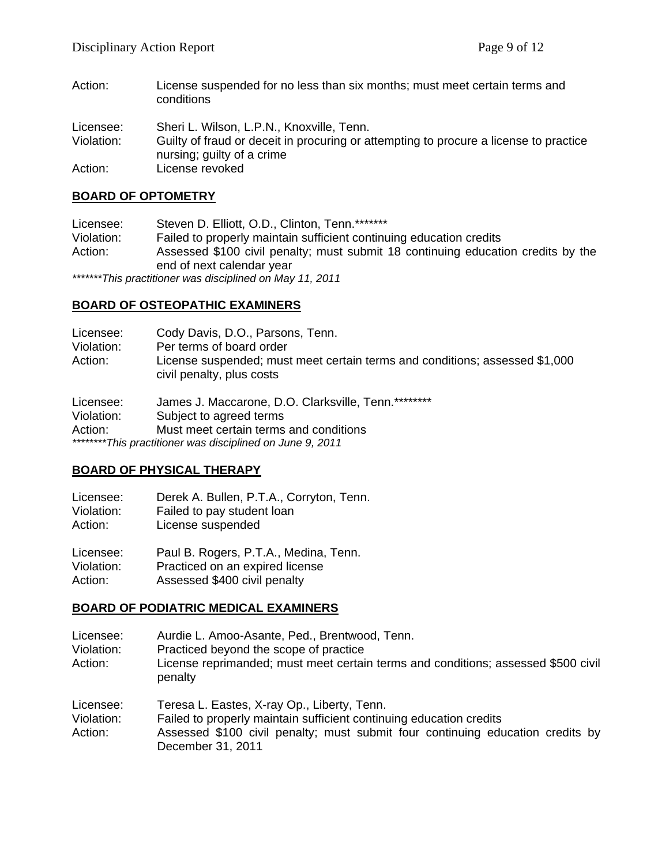Action: License suspended for no less than six months; must meet certain terms and conditions

Licensee: Sheri L. Wilson, L.P.N., Knoxville, Tenn. Violation: Guilty of fraud or deceit in procuring or attempting to procure a license to practice nursing; guilty of a crime Action: License revoked

#### **BOARD OF OPTOMETRY**

Licensee: Steven D. Elliott, O.D., Clinton, Tenn.\*\*\*\*\*\*\* Violation: Failed to properly maintain sufficient continuing education credits Action: Assessed \$100 civil penalty; must submit 18 continuing education credits by the end of next calendar year

*\*\*\*\*\*\*\*This practitioner was disciplined on May 11, 2011* 

## **BOARD OF OSTEOPATHIC EXAMINERS**

Licensee: Cody Davis, D.O., Parsons, Tenn. Violation: Per terms of board order Action: License suspended; must meet certain terms and conditions; assessed \$1,000 civil penalty, plus costs

Licensee: James J. Maccarone, D.O. Clarksville, Tenn.\*\*\*\*\*\*\*\* Violation: Subject to agreed terms Action: Must meet certain terms and conditions *\*\*\*\*\*\*\*\*This practitioner was disciplined on June 9, 2011* 

#### **BOARD OF PHYSICAL THERAPY**

Licensee: Derek A. Bullen, P.T.A., Corryton, Tenn. Violation: Failed to pay student loan

Action: License suspended

Licensee: Paul B. Rogers, P.T.A., Medina, Tenn. Violation: Practiced on an expired license Action: Assessed \$400 civil penalty

## **BOARD OF PODIATRIC MEDICAL EXAMINERS**

Licensee: Aurdie L. Amoo-Asante, Ped., Brentwood, Tenn.

Violation: Practiced beyond the scope of practice

Action: License reprimanded; must meet certain terms and conditions; assessed \$500 civil penalty

Licensee: Teresa L. Eastes, X-ray Op., Liberty, Tenn. Violation: Failed to properly maintain sufficient continuing education credits

Action: Assessed \$100 civil penalty; must submit four continuing education credits by December 31, 2011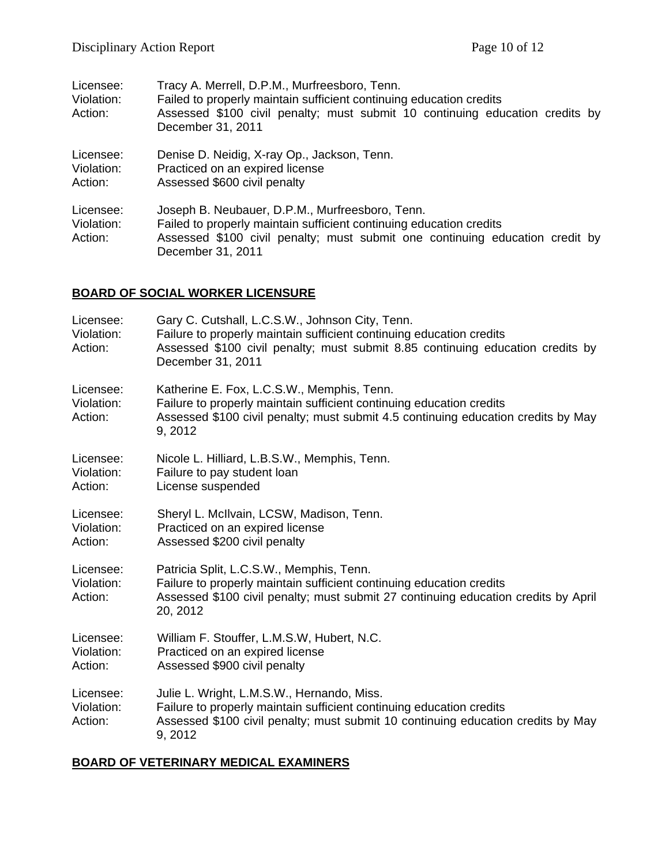| Licensee:                          | Tracy A. Merrell, D.P.M., Murfreesboro, Tenn.                                                                                                                                                                               |
|------------------------------------|-----------------------------------------------------------------------------------------------------------------------------------------------------------------------------------------------------------------------------|
| Violation:                         | Failed to properly maintain sufficient continuing education credits                                                                                                                                                         |
| Action:                            | Assessed \$100 civil penalty; must submit 10 continuing education credits by<br>December 31, 2011                                                                                                                           |
| Licensee:                          | Denise D. Neidig, X-ray Op., Jackson, Tenn.                                                                                                                                                                                 |
| Violation:                         | Practiced on an expired license                                                                                                                                                                                             |
| Action:                            | Assessed \$600 civil penalty                                                                                                                                                                                                |
| Licensee:<br>Violation:<br>Action: | Joseph B. Neubauer, D.P.M., Murfreesboro, Tenn.<br>Failed to properly maintain sufficient continuing education credits<br>Assessed \$100 civil penalty; must submit one continuing education credit by<br>December 31, 2011 |

## **BOARD OF SOCIAL WORKER LICENSURE**

| Licensee:<br>Violation:<br>Action: | Gary C. Cutshall, L.C.S.W., Johnson City, Tenn.<br>Failure to properly maintain sufficient continuing education credits<br>Assessed \$100 civil penalty; must submit 8.85 continuing education credits by<br>December 31, 2011 |
|------------------------------------|--------------------------------------------------------------------------------------------------------------------------------------------------------------------------------------------------------------------------------|
| Licensee:<br>Violation:<br>Action: | Katherine E. Fox, L.C.S.W., Memphis, Tenn.<br>Failure to properly maintain sufficient continuing education credits<br>Assessed \$100 civil penalty; must submit 4.5 continuing education credits by May<br>9, 2012             |
| Licensee:<br>Violation:<br>Action: | Nicole L. Hilliard, L.B.S.W., Memphis, Tenn.<br>Failure to pay student loan<br>License suspended                                                                                                                               |
| Licensee:<br>Violation:<br>Action: | Sheryl L. McIlvain, LCSW, Madison, Tenn.<br>Practiced on an expired license<br>Assessed \$200 civil penalty                                                                                                                    |
| Licensee:<br>Violation:<br>Action: | Patricia Split, L.C.S.W., Memphis, Tenn.<br>Failure to properly maintain sufficient continuing education credits<br>Assessed \$100 civil penalty; must submit 27 continuing education credits by April<br>20, 2012             |
| Licensee:<br>Violation:<br>Action: | William F. Stouffer, L.M.S.W, Hubert, N.C.<br>Practiced on an expired license<br>Assessed \$900 civil penalty                                                                                                                  |
| Licensee:<br>Violation:<br>Action: | Julie L. Wright, L.M.S.W., Hernando, Miss.<br>Failure to properly maintain sufficient continuing education credits<br>Assessed \$100 civil penalty; must submit 10 continuing education credits by May<br>9, 2012              |

## **BOARD OF VETERINARY MEDICAL EXAMINERS**